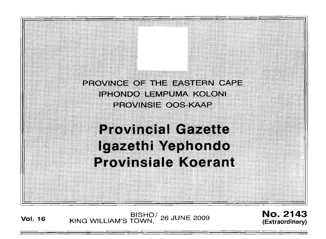PROVINCE OF THE FASTERN CAPE **IPHONDO LEMPUMA KOLONI** PROVINSIE OOS KAAP

# **Provincial Gazette** Igazethi Yephondo **Provinsiale Koerant**

**Vol. <sup>16</sup>** BISHO/ KING WILLIAM'S TOWN , 26 JUNE 2009

No. 2143 **(Extraordinary)**